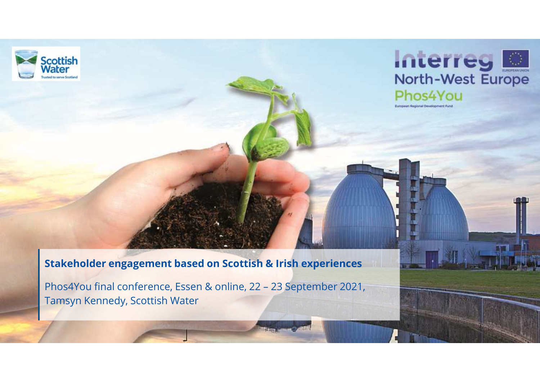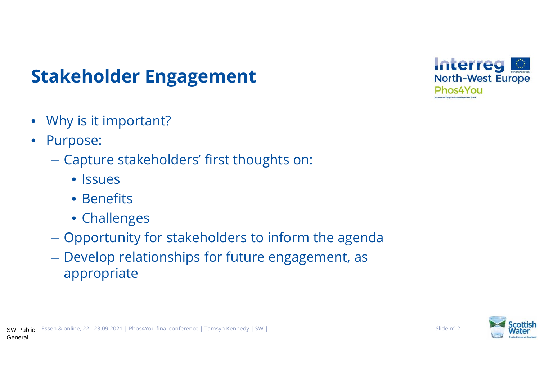# **Stakeholder Engagement**

- $\bullet$ Why is it important?
- $\bullet$  Purpose:
	- Capture stakeholders' first thoughts on:
		- Issues
		- Benefits
		- Challenges
	- Opportunity for stakeholders to inform the agenda
	- Develop relationships for future engagement, as appropriate



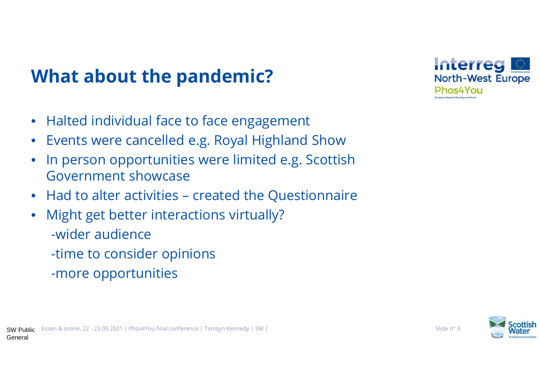## **What about the pandemic?**

- •Halted individual face to face engagement
- $\bullet$ Events were cancelled e.g. Royal Highland Show
- $\bullet$  In person opportunities were limited e.g. Scottish •Government showcase
- $\bullet$ Had to alter activities – created the Questionnaire
- $\bullet$  Might get better interactions virtually?-wider audience-time to consider opinions -more opportunities



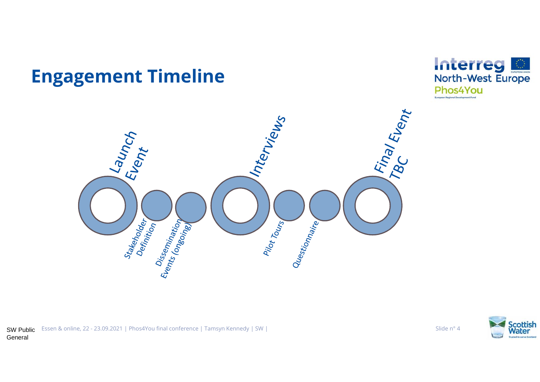### **Engagement Timeline**







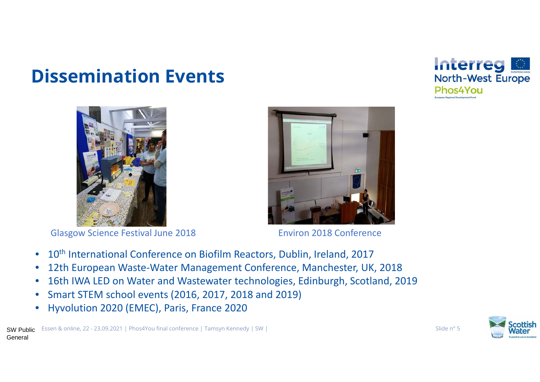### **Dissemination Events**



Glasgow Science Festival June 2018



Environ 2018 Conference

- $\bullet$ 10<sup>th</sup> International Conference on Biofilm Reactors, Dublin, Ireland, 2017
- 12th European Waste-Water Management Conference, Manchester, UK, 2018•
- 16th IWA LED on Water and Wastewater technologies, Edinburgh, Scotland, 2019•
- $\bullet$ Smart STEM school events (2016, 2017, 2018 and 2019)
- •Hyvolution 2020 (EMEC), Paris, France 2020



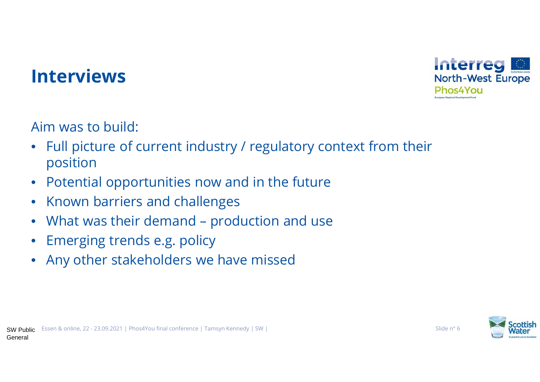

#### **Interviews**

Aim was to build:

- $\bullet$  Full picture of current industry / regulatory context from their position
- Potential opportunities now and in the future $\bullet$
- $\bullet$ Known barriers and challenges
- $\bullet$ What was their demand – production and use
- $\bullet$ Emerging trends e.g. policy
- $\bullet$ Any other stakeholders we have missed



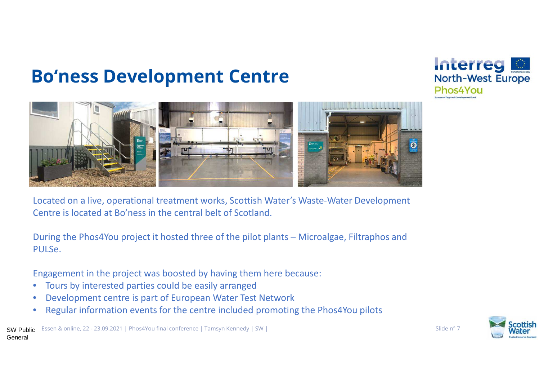### **Bo'ness Development Centre**





Located on a live, operational treatment works, Scottish Water's Waste-Water Development Centre is located at Bo'ness in the central belt of Scotland.

During the Phos4You project it hosted three of the pilot plants – Microalgae, Filtraphos and PULSe.

Engagement in the project was boosted by having them here because:

- •Tours by interested parties could be easily arranged
- Development centre is part of European Water Test Network•
- Regular information events for the centre included promoting the Phos4You pilots•



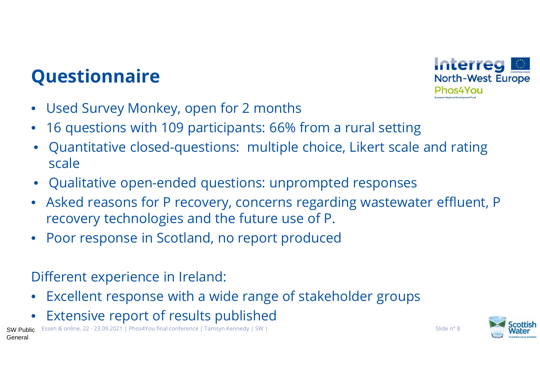## **Questionnaire**



- $\bullet$ Used Survey Monkey, open for 2 months
- $\bullet$ 16 questions with 109 participants: 66% from a rural setting
- • Quantitative closed-questions: multiple choice, Likert scale and rating scale
- Qualitative open-ended questions: unprompted responses
- $\bullet$  Asked reasons for P recovery, concerns regarding wastewater effluent, P recovery technologies and the future use of P.
- $\bullet$ Poor response in Scotland, no report produced

#### Different experience in Ireland:

- $\bullet$ Excellent response with a wide range of stakeholder groups
- •Extensive report of results published



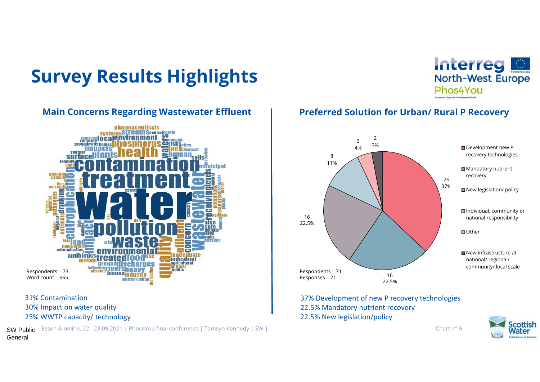# **Survey Results Highlights**



31% Contamination 30% Impact on water quality25% WWTP capacity/ technology

 $\textsf{SW}$  Public Essen & online, 22 - 23.09.2021 | Phos4You final conference | Tamsyn Kennedy | SW | Chart n° 9 Chart n° 9 Chart n° 9 Chart n° 9 Chart n° 9 Chart n° 9 Chart n° 9 Chart n° 9 Chart n° 9 Chart n° 9 Chart n° 9 General



#### Main Concerns Regarding Wastewater Effluent | Preferred Solution for Urban/ Rural P Recovery



37% Development of new P recovery technologies22.5% Mandatory nutrient recovery22.5% New legislation/policy

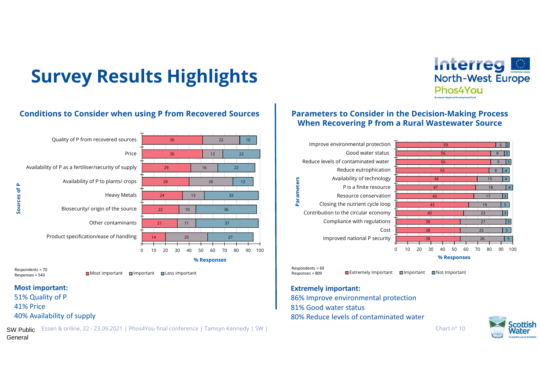# **Survey Results Highlights**





 ${\sf SW\, Public\,\,\,\,\,}$  Essen & online, 22 - 23.09.2021 | Phos4You final conference | Tamsyn Kennedy | SW |  $\,$ General

#### **Parameters to Consider in the Decision-Making Process When Recovering P from a Rural Wastewater Source**



#### **Extremely important:**

86% Improve environmental protection81% Good water status80% Reduce levels of contaminated water



Interreg

Phos4You

North-West Europe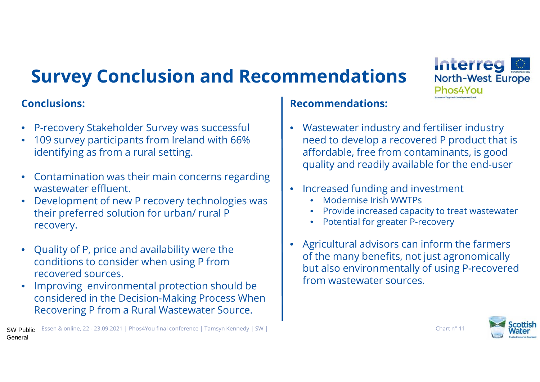# **Survey Conclusion and Recommendations**

#### **Conclusions:**

- P-recovery Stakeholder Survey was successful
- 109 survey participants from Ireland with 66% identifying as from a rural setting.
- • Contamination was their main concerns regarding wastewater effluent.
- • Development of new P recovery technologies was their preferred solution for urban/ rural P recovery.
- • Quality of P, price and availability were the conditions to consider when using P from recovered sources.
- • Improving environmental protection should be considered in the Decision-Making Process When Recovering P from a Rural Wastewater Source.

# **Recommendations:**

- Wastewater industry and fertiliser industry need to develop a recovered P product that is affordable, free from contaminants, is good quality and readily available for the end-user
- $\bullet$  Increased funding and investment
	- •Modernise Irish WWTPs
	- •Provide increased capacity to treat wastewater
	- •Potential for greater P-recovery
- $\bullet$  Agricultural advisors can inform the farmers of the many benefits, not just agronomically but also environmentally of using P-recovered from wastewater sources.



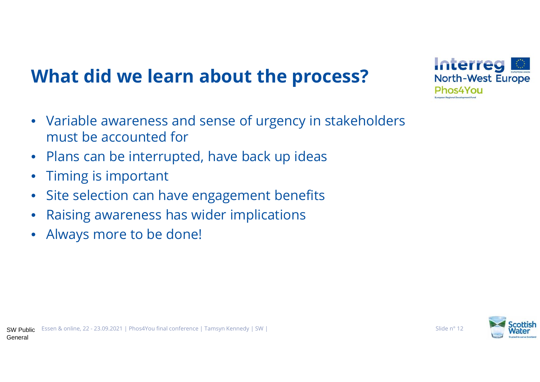# **What did we learn about the process?**

- Variable awareness and sense of urgency in stakeholders must be accounted for
- $\bullet$ Plans can be interrupted, have back up ideas
- $\bullet$ Timing is important
- $\bullet$ Site selection can have engagement benefits
- •Raising awareness has wider implications
- •Always more to be done!



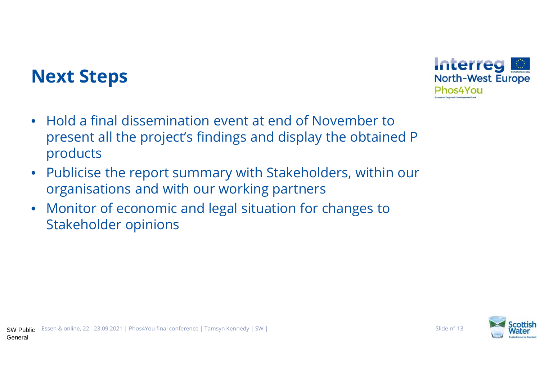#### **Next Steps**



- $\bullet$  Publicise the report summary with Stakeholders, within our organisations and with our working partners
- $\bullet$  Monitor of economic and legal situation for changes to Stakeholder opinions